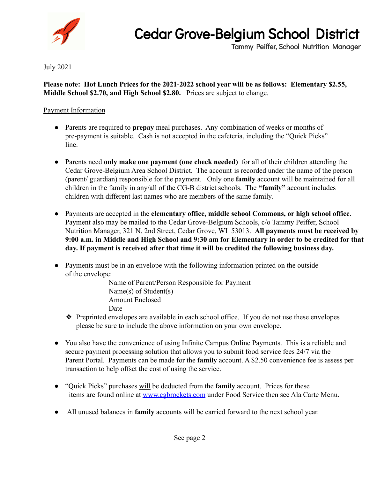

## Cedar Grove-Belgium School District

Tammy Peiffer, School Nutrition Manager

July 2021

**Please note: Hot Lunch Prices for the 2021-2022 school year will be as follows: Elementary \$2.55, Middle School \$2.70, and High School \$2.80.** Prices are subject to change.

## Payment Information

- Parents are required to **prepay** meal purchases. Any combination of weeks or months of pre-payment is suitable. Cash is not accepted in the cafeteria, including the "Quick Picks" line.
- Parents need **only make one payment (one check needed)** for all of their children attending the Cedar Grove-Belgium Area School District. The account is recorded under the name of the person (parent/ guardian) responsible for the payment. Only one **family** account will be maintained for all children in the family in any/all of the CG-B district schools. The **"family"** account includes children with different last names who are members of the same family.
- Payments are accepted in the **elementary office, middle school Commons, or high school office**. Payment also may be mailed to the Cedar Grove-Belgium Schools, c/o Tammy Peiffer, School Nutrition Manager, 321 N. 2nd Street, Cedar Grove, WI 53013. **All payments must be received by 9:00 a.m. in Middle and High School and 9:30 am for Elementary in order to be credited for that day. If payment is received after that time it will be credited the following business day.**
- Payments must be in an envelope with the following information printed on the outside of the envelope:

Name of Parent/Person Responsible for Payment Name(s) of Student(s) Amount Enclosed Date

- ❖ Preprinted envelopes are available in each school office. If you do not use these envelopes please be sure to include the above information on your own envelope.
- You also have the convenience of using Infinite Campus Online Payments. This is a reliable and secure payment processing solution that allows you to submit food service fees 24/7 via the Parent Portal. Payments can be made for the **family** account. A \$2.50 convenience fee is assess per transaction to help offset the cost of using the service.
- "Quick Picks" purchases will be deducted from the **family** account. Prices for these items are found online at [www.cgbrockets.com](http://www.cgbsd.com) under Food Service then see Ala Carte Menu.
- All unused balances in **family** accounts will be carried forward to the next school year.